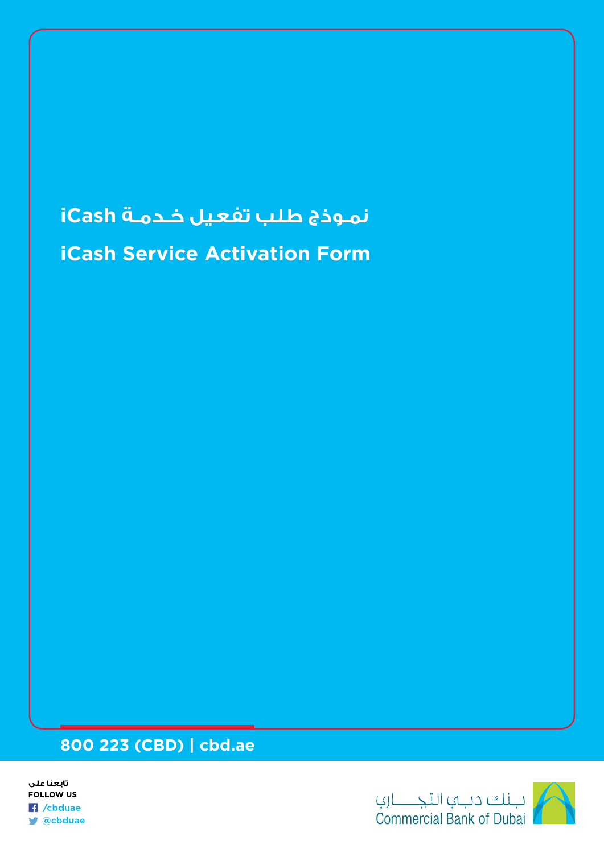# **iCash Service Activation Form نمـوذج طلب تفعيل خـدمـة iCash**

# **800 223 (CBD) | cbd.ae**



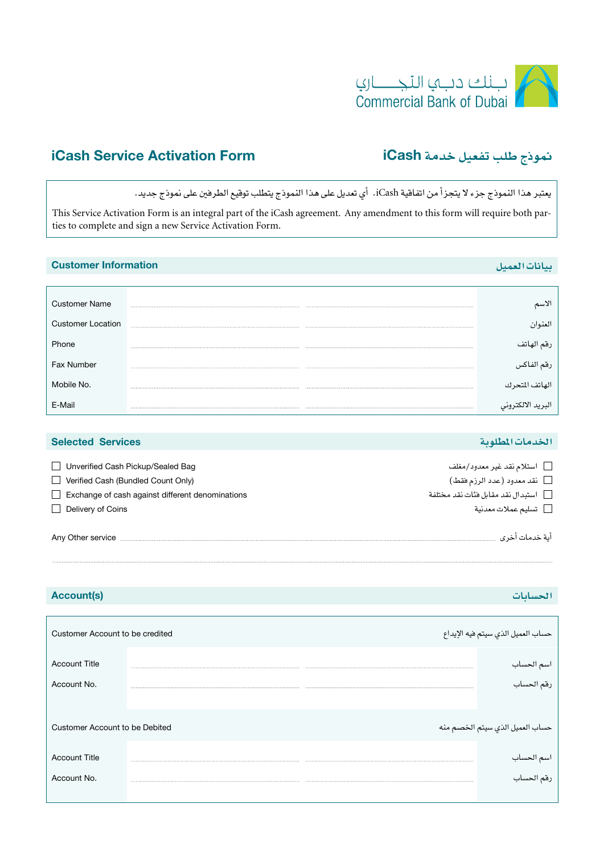

# iCash Service Activation Form iCash **خدمة تفعيل طلب منوذج**

يعترب هذا النموذج جزء ال يتجزأ من اتفاقية iCash. أي تعديل على هذا النموذج يتطلب توقيع الطرفني على منوذج جديد.

This Service Activation Form is an integral part of the iCash agreement. Any amendment to this form will require both parties to complete and sign a new Service Activation Form.

| <b>Customer Information</b> |  |                   |
|-----------------------------|--|-------------------|
|                             |  |                   |
| <b>Customer Name</b>        |  |                   |
| <b>Customer Location</b>    |  | العنوان           |
| Phone                       |  | رقم الهاتف        |
| Fax Number                  |  | رقم الفاكس<br>-   |
| Mobile No.                  |  | لهاتف المتحرك     |
|                             |  | البريد الالكتروني |

| <b>Selected Services</b>                                                | الخدمات المطلوبة                                           |
|-------------------------------------------------------------------------|------------------------------------------------------------|
| Unverified Cash Pickup/Sealed Bag<br>Verified Cash (Bundled Count Only) | □ استلام نقد غير معدود/مغلف<br>[ نقد معدود (عدد الرزم فقط) |
| Exchange of cash against different denominations                        | □ استبدال نقد مقابل فنًات نقد مختلفة                       |
| Delivery of Coins                                                       | □ تسليم عملات معدنية                                       |
| Any Other service                                                       | آية خدمات آخري                                             |

### **احل�سابات** (s(Account

| Customer Account to be credited |  | حساب العميل الذي سيتم فيه الإيداع |
|---------------------------------|--|-----------------------------------|
| <b>Account Title</b>            |  | اسم الحساب                        |
| Account No.                     |  | رقم الحساب                        |
| Customer Account to be Debited  |  | حساب العميل الذي سيتم الخصم منه   |
| <b>Account Title</b>            |  | اسم الحساب<br>-                   |
| Account No.                     |  | رقم الحساب                        |